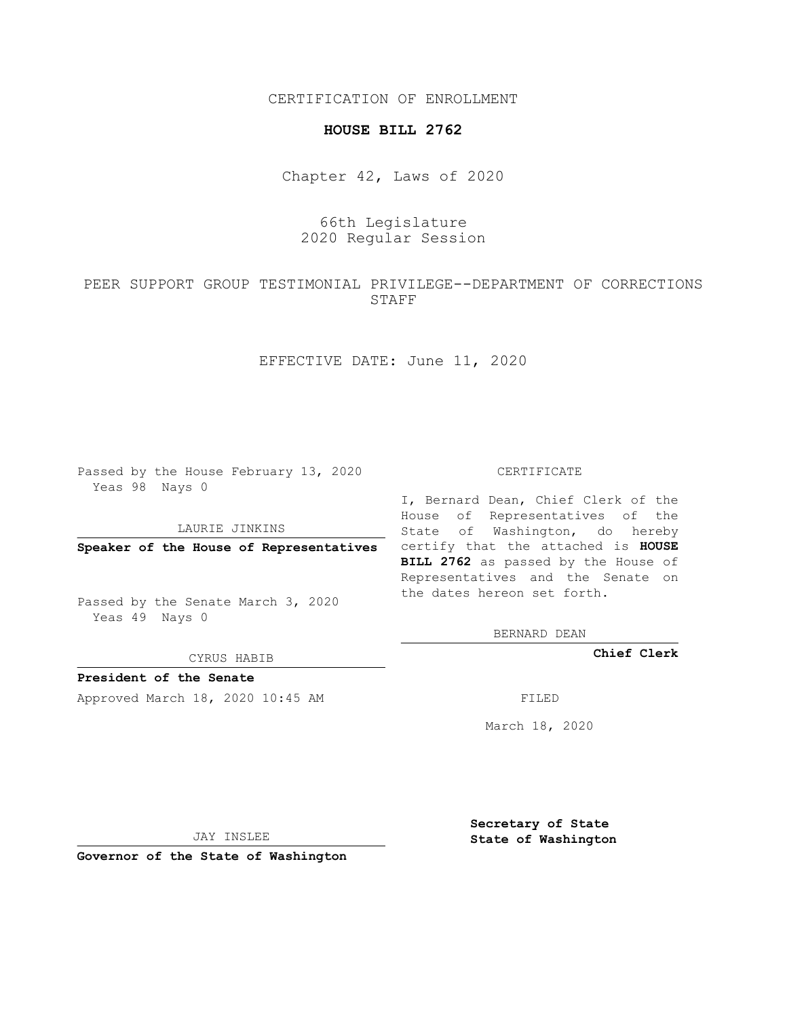CERTIFICATION OF ENROLLMENT

## **HOUSE BILL 2762**

Chapter 42, Laws of 2020

## 66th Legislature 2020 Regular Session

PEER SUPPORT GROUP TESTIMONIAL PRIVILEGE--DEPARTMENT OF CORRECTIONS STAFF

EFFECTIVE DATE: June 11, 2020

Passed by the House February 13, 2020 Yeas 98 Nays 0

LAURIE JINKINS

Passed by the Senate March 3, 2020 Yeas 49 Nays 0

CYRUS HABIB

**President of the Senate**

Approved March 18, 2020 10:45 AM FILED

#### CERTIFICATE

**Speaker of the House of Representatives** certify that the attached is **HOUSE** I, Bernard Dean, Chief Clerk of the House of Representatives of the State of Washington, do hereby **BILL 2762** as passed by the House of Representatives and the Senate on the dates hereon set forth.

BERNARD DEAN

**Chief Clerk**

March 18, 2020

JAY INSLEE

**Governor of the State of Washington**

**Secretary of State State of Washington**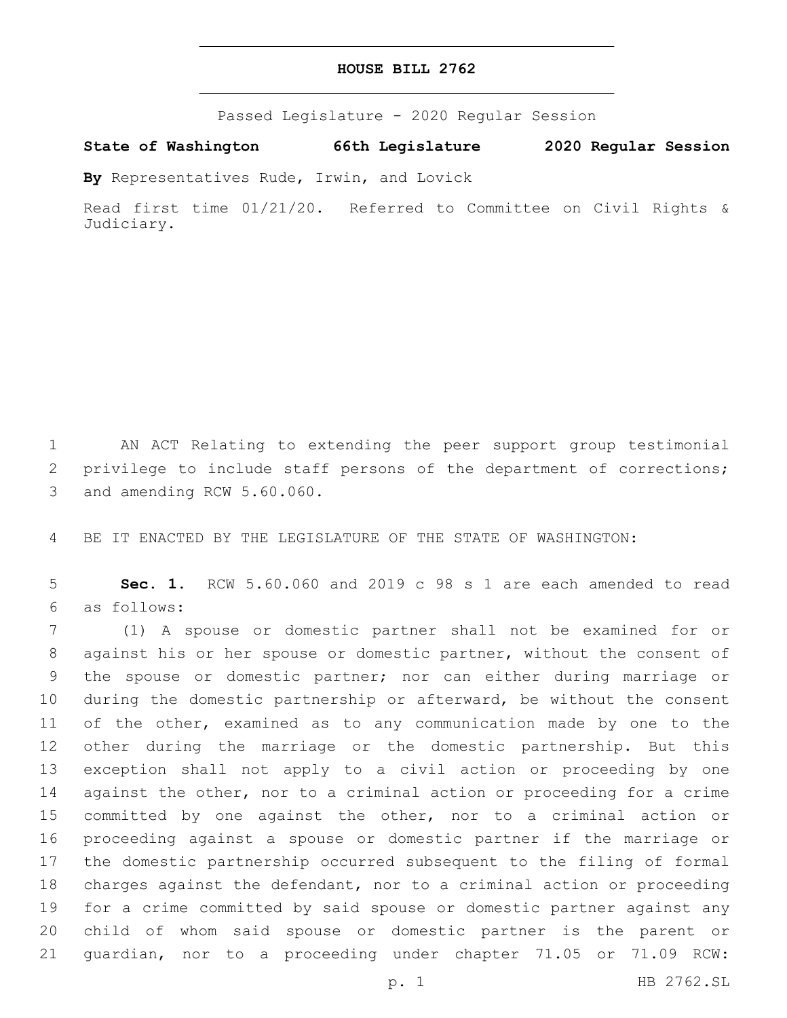### **HOUSE BILL 2762**

Passed Legislature - 2020 Regular Session

**State of Washington 66th Legislature 2020 Regular Session**

**By** Representatives Rude, Irwin, and Lovick

Read first time 01/21/20. Referred to Committee on Civil Rights & Judiciary.

 AN ACT Relating to extending the peer support group testimonial privilege to include staff persons of the department of corrections; 3 and amending RCW 5.60.060.

BE IT ENACTED BY THE LEGISLATURE OF THE STATE OF WASHINGTON:

 **Sec. 1.** RCW 5.60.060 and 2019 c 98 s 1 are each amended to read as follows:6

 (1) A spouse or domestic partner shall not be examined for or against his or her spouse or domestic partner, without the consent of the spouse or domestic partner; nor can either during marriage or during the domestic partnership or afterward, be without the consent 11 of the other, examined as to any communication made by one to the other during the marriage or the domestic partnership. But this exception shall not apply to a civil action or proceeding by one 14 against the other, nor to a criminal action or proceeding for a crime committed by one against the other, nor to a criminal action or proceeding against a spouse or domestic partner if the marriage or the domestic partnership occurred subsequent to the filing of formal charges against the defendant, nor to a criminal action or proceeding for a crime committed by said spouse or domestic partner against any child of whom said spouse or domestic partner is the parent or guardian, nor to a proceeding under chapter 71.05 or 71.09 RCW: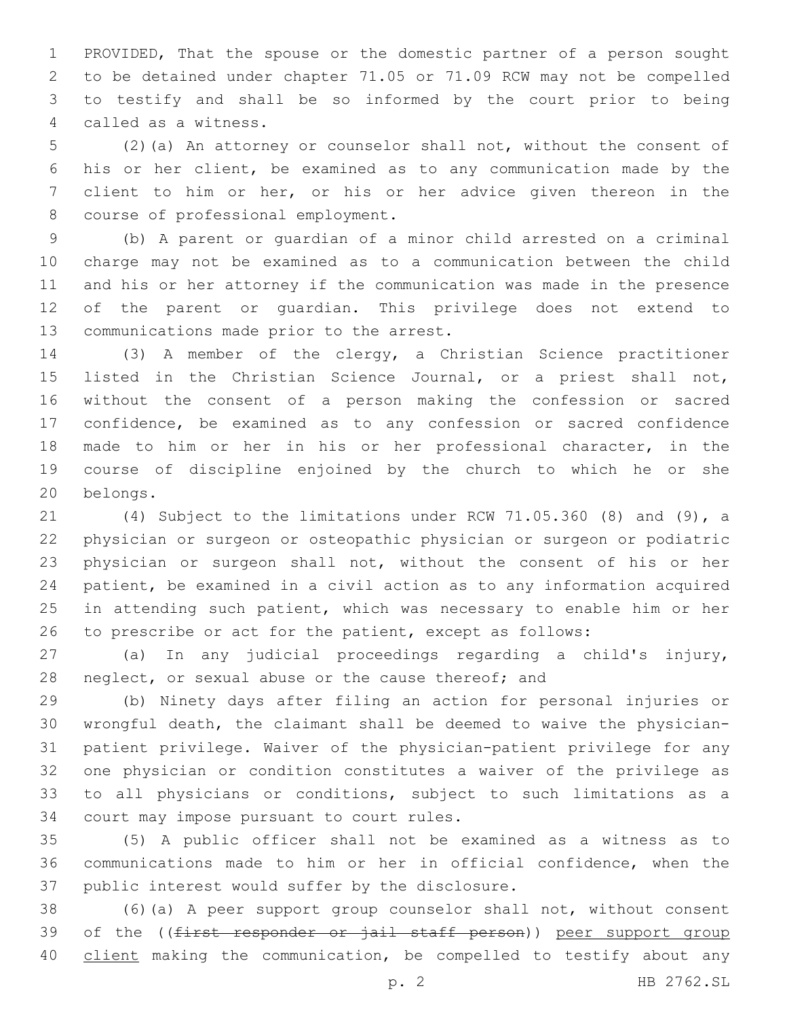PROVIDED, That the spouse or the domestic partner of a person sought to be detained under chapter 71.05 or 71.09 RCW may not be compelled to testify and shall be so informed by the court prior to being called as a witness.4

 (2)(a) An attorney or counselor shall not, without the consent of his or her client, be examined as to any communication made by the client to him or her, or his or her advice given thereon in the 8 course of professional employment.

 (b) A parent or guardian of a minor child arrested on a criminal charge may not be examined as to a communication between the child and his or her attorney if the communication was made in the presence of the parent or guardian. This privilege does not extend to 13 communications made prior to the arrest.

 (3) A member of the clergy, a Christian Science practitioner listed in the Christian Science Journal, or a priest shall not, without the consent of a person making the confession or sacred confidence, be examined as to any confession or sacred confidence made to him or her in his or her professional character, in the course of discipline enjoined by the church to which he or she 20 belongs.

 (4) Subject to the limitations under RCW 71.05.360 (8) and (9), a physician or surgeon or osteopathic physician or surgeon or podiatric physician or surgeon shall not, without the consent of his or her patient, be examined in a civil action as to any information acquired in attending such patient, which was necessary to enable him or her to prescribe or act for the patient, except as follows:

 (a) In any judicial proceedings regarding a child's injury, 28 neglect, or sexual abuse or the cause thereof; and

 (b) Ninety days after filing an action for personal injuries or wrongful death, the claimant shall be deemed to waive the physician- patient privilege. Waiver of the physician-patient privilege for any one physician or condition constitutes a waiver of the privilege as to all physicians or conditions, subject to such limitations as a 34 court may impose pursuant to court rules.

 (5) A public officer shall not be examined as a witness as to communications made to him or her in official confidence, when the 37 public interest would suffer by the disclosure.

 (6)(a) A peer support group counselor shall not, without consent 39 of the ((first responder or jail staff person)) peer support group 40 client making the communication, be compelled to testify about any

p. 2 HB 2762.SL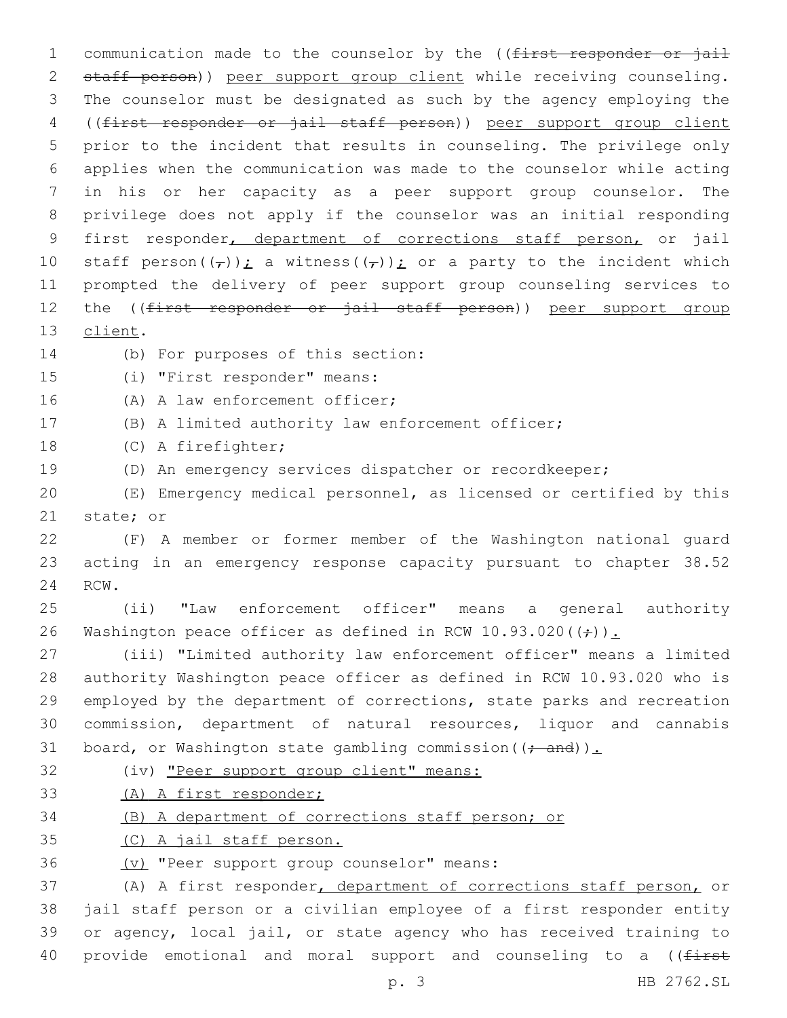1 communication made to the counselor by the ((first responder or jail staff person)) peer support group client while receiving counseling. The counselor must be designated as such by the agency employing the ((first responder or jail staff person)) peer support group client prior to the incident that results in counseling. The privilege only applies when the communication was made to the counselor while acting in his or her capacity as a peer support group counselor. The privilege does not apply if the counselor was an initial responding first responder, department of corrections staff person, or jail 10 staff person $((\tau))$ ; a witness $((\tau))$ ; or a party to the incident which prompted the delivery of peer support group counseling services to 12 the ((first responder or jail staff person)) peer support group 13 client. 14 (b) For purposes of this section: 15 (i) "First responder" means: 16 (A) A law enforcement officer; (B) A limited authority law enforcement officer;

- 18 (C) A firefighter;
- (D) An emergency services dispatcher or recordkeeper;
- (E) Emergency medical personnel, as licensed or certified by this 21 state; or
- (F) A member or former member of the Washington national guard acting in an emergency response capacity pursuant to chapter 38.52 24 RCW.
- (ii) "Law enforcement officer" means a general authority 26 Washington peace officer as defined in RCW 10.93.020( $\left(\frac{1}{r}\right)$ ).

 (iii) "Limited authority law enforcement officer" means a limited authority Washington peace officer as defined in RCW 10.93.020 who is employed by the department of corrections, state parks and recreation commission, department of natural resources, liquor and cannabis 31 board, or Washington state gambling commission (( $\div$  and)).

(iv) "Peer support group client" means:

(A) A first responder;

# (B) A department of corrections staff person; or

- (C) A jail staff person.
- 36 (v) "Peer support group counselor" means:

 (A) A first responder, department of corrections staff person, or jail staff person or a civilian employee of a first responder entity or agency, local jail, or state agency who has received training to 40 provide emotional and moral support and counseling to a ((first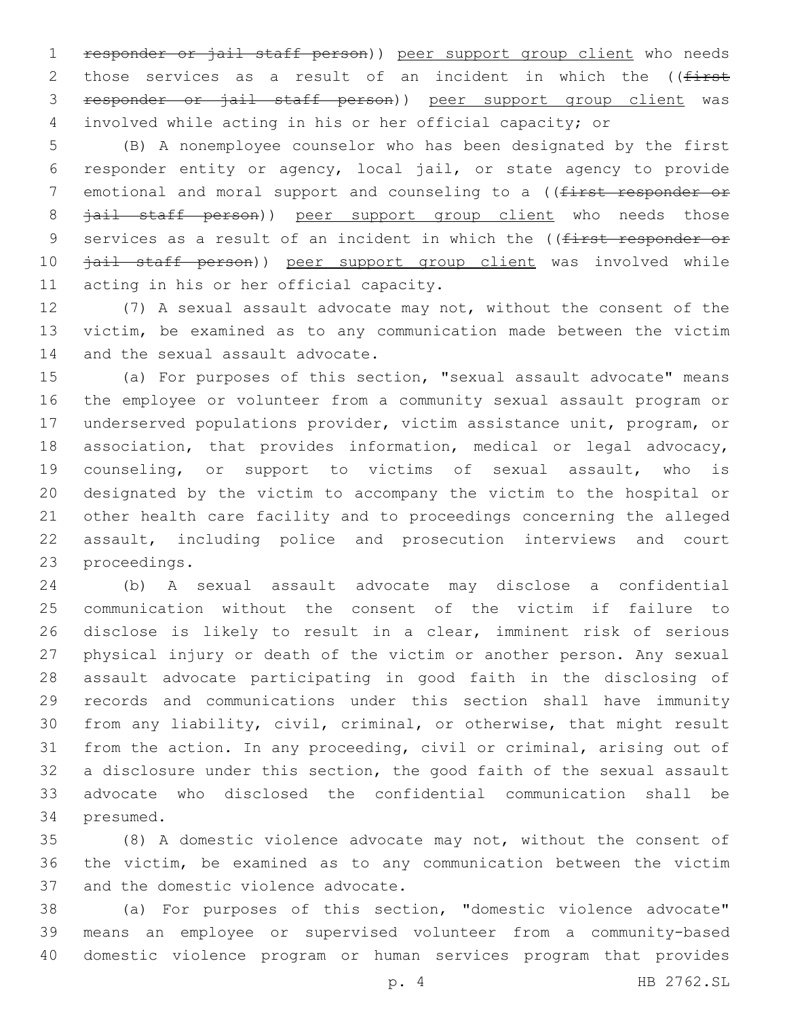responder or jail staff person)) peer support group client who needs 2 those services as a result of an incident in which the ((first responder or jail staff person)) peer support group client was involved while acting in his or her official capacity; or

 (B) A nonemployee counselor who has been designated by the first responder entity or agency, local jail, or state agency to provide 7 emotional and moral support and counseling to a ((first responder or 8 jail staff person)) peer support group client who needs those 9 services as a result of an incident in which the ((first responder or *jail staff person*)) peer support group client was involved while 11 acting in his or her official capacity.

 (7) A sexual assault advocate may not, without the consent of the victim, be examined as to any communication made between the victim 14 and the sexual assault advocate.

 (a) For purposes of this section, "sexual assault advocate" means the employee or volunteer from a community sexual assault program or underserved populations provider, victim assistance unit, program, or association, that provides information, medical or legal advocacy, counseling, or support to victims of sexual assault, who is designated by the victim to accompany the victim to the hospital or other health care facility and to proceedings concerning the alleged assault, including police and prosecution interviews and court 23 proceedings.

 (b) A sexual assault advocate may disclose a confidential communication without the consent of the victim if failure to disclose is likely to result in a clear, imminent risk of serious physical injury or death of the victim or another person. Any sexual assault advocate participating in good faith in the disclosing of records and communications under this section shall have immunity from any liability, civil, criminal, or otherwise, that might result from the action. In any proceeding, civil or criminal, arising out of a disclosure under this section, the good faith of the sexual assault advocate who disclosed the confidential communication shall be 34 presumed.

 (8) A domestic violence advocate may not, without the consent of the victim, be examined as to any communication between the victim 37 and the domestic violence advocate.

 (a) For purposes of this section, "domestic violence advocate" means an employee or supervised volunteer from a community-based domestic violence program or human services program that provides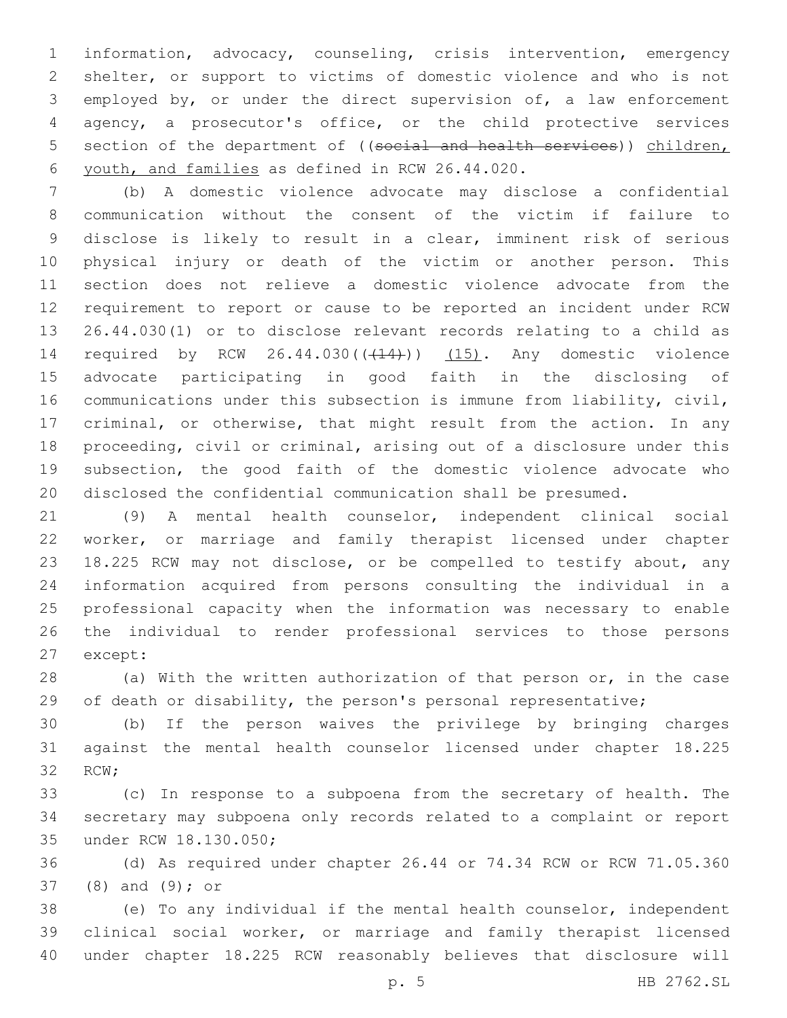information, advocacy, counseling, crisis intervention, emergency shelter, or support to victims of domestic violence and who is not employed by, or under the direct supervision of, a law enforcement agency, a prosecutor's office, or the child protective services 5 section of the department of ((social and health services)) children, youth, and families as defined in RCW 26.44.020.6

 (b) A domestic violence advocate may disclose a confidential communication without the consent of the victim if failure to disclose is likely to result in a clear, imminent risk of serious physical injury or death of the victim or another person. This section does not relieve a domestic violence advocate from the requirement to report or cause to be reported an incident under RCW 26.44.030(1) or to disclose relevant records relating to a child as 14 required by RCW 26.44.030(((14))) (15). Any domestic violence advocate participating in good faith in the disclosing of communications under this subsection is immune from liability, civil, criminal, or otherwise, that might result from the action. In any proceeding, civil or criminal, arising out of a disclosure under this subsection, the good faith of the domestic violence advocate who disclosed the confidential communication shall be presumed.

 (9) A mental health counselor, independent clinical social worker, or marriage and family therapist licensed under chapter 18.225 RCW may not disclose, or be compelled to testify about, any information acquired from persons consulting the individual in a professional capacity when the information was necessary to enable the individual to render professional services to those persons 27 except:

 (a) With the written authorization of that person or, in the case of death or disability, the person's personal representative;

 (b) If the person waives the privilege by bringing charges against the mental health counselor licensed under chapter 18.225 32 RCW;

 (c) In response to a subpoena from the secretary of health. The secretary may subpoena only records related to a complaint or report 35 under RCW 18.130.050;

 (d) As required under chapter 26.44 or 74.34 RCW or RCW 71.05.360 37 (8) and (9); or

 (e) To any individual if the mental health counselor, independent clinical social worker, or marriage and family therapist licensed under chapter 18.225 RCW reasonably believes that disclosure will